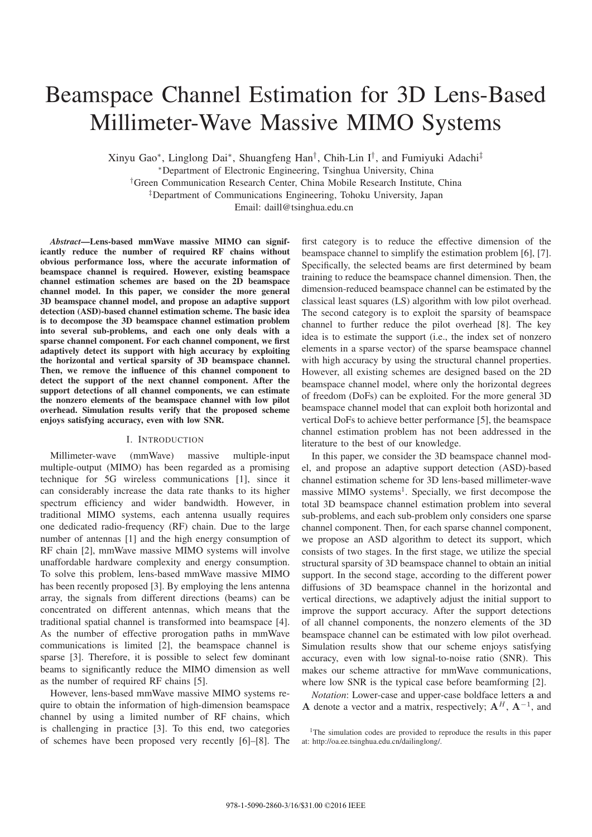# Beamspace Channel Estimation for 3D Lens-Based Millimeter-Wave Massive MIMO Systems

Xinyu Gao∗, Linglong Dai∗, Shuangfeng Han†, Chih-Lin I†, and Fumiyuki Adachi‡ <sup>∗</sup>Department of Electronic Engineering, Tsinghua University, China †Green Communication Research Center, China Mobile Research Institute, China ‡Department of Communications Engineering, Tohoku University, Japan

Email: daill@tsinghua.edu.cn

*Abstract*—Lens-based mmWave massive MIMO can significantly reduce the number of required RF chains without obvious performance loss, where the accurate information of beamspace channel is required. However, existing beamspace channel estimation schemes are based on the 2D beamspace channel model. In this paper, we consider the more general 3D beamspace channel model, and propose an adaptive support detection (ASD)-based channel estimation scheme. The basic idea is to decompose the 3D beamspace channel estimation problem into several sub-problems, and each one only deals with a sparse channel component. For each channel component, we first adaptively detect its support with high accuracy by exploiting the horizontal and vertical sparsity of 3D beamspace channel. Then, we remove the influence of this channel component to detect the support of the next channel component. After the support detections of all channel components, we can estimate the nonzero elements of the beamspace channel with low pilot overhead. Simulation results verify that the proposed scheme enjoys satisfying accuracy, even with low SNR.

## I. INTRODUCTION

Millimeter-wave (mmWave) massive multiple-input multiple-output (MIMO) has been regarded as a promising technique for 5G wireless communications [1], since it can considerably increase the data rate thanks to its higher spectrum efficiency and wider bandwidth. However, in traditional MIMO systems, each antenna usually requires one dedicated radio-frequency (RF) chain. Due to the large number of antennas [1] and the high energy consumption of RF chain [2], mmWave massive MIMO systems will involve unaffordable hardware complexity and energy consumption. To solve this problem, lens-based mmWave massive MIMO has been recently proposed [3]. By employing the lens antenna array, the signals from different directions (beams) can be concentrated on different antennas, which means that the traditional spatial channel is transformed into beamspace [4]. As the number of effective prorogation paths in mmWave communications is limited [2], the beamspace channel is sparse [3]. Therefore, it is possible to select few dominant beams to significantly reduce the MIMO dimension as well as the number of required RF chains [5].

However, lens-based mmWave massive MIMO systems require to obtain the information of high-dimension beamspace channel by using a limited number of RF chains, which is challenging in practice [3]. To this end, two categories of schemes have been proposed very recently [6]–[8]. The

first category is to reduce the effective dimension of the beamspace channel to simplify the estimation problem [6], [7]. Specifically, the selected beams are first determined by beam training to reduce the beamspace channel dimension. Then, the dimension-reduced beamspace channel can be estimated by the classical least squares (LS) algorithm with low pilot overhead. The second category is to exploit the sparsity of beamspace channel to further reduce the pilot overhead [8]. The key idea is to estimate the support (i.e., the index set of nonzero elements in a sparse vector) of the sparse beamspace channel with high accuracy by using the structural channel properties. However, all existing schemes are designed based on the 2D beamspace channel model, where only the horizontal degrees of freedom (DoFs) can be exploited. For the more general 3D beamspace channel model that can exploit both horizontal and vertical DoFs to achieve better performance [5], the beamspace channel estimation problem has not been addressed in the literature to the best of our knowledge.

In this paper, we consider the 3D beamspace channel model, and propose an adaptive support detection (ASD)-based channel estimation scheme for 3D lens-based millimeter-wave massive MIMO systems<sup>1</sup>. Specially, we first decompose the total 3D beamspace channel estimation problem into several sub-problems, and each sub-problem only considers one sparse channel component. Then, for each sparse channel component, we propose an ASD algorithm to detect its support, which consists of two stages. In the first stage, we utilize the special structural sparsity of 3D beamspace channel to obtain an initial support. In the second stage, according to the different power diffusions of 3D beamspace channel in the horizontal and vertical directions, we adaptively adjust the initial support to improve the support accuracy. After the support detections of all channel components, the nonzero elements of the 3D beamspace channel can be estimated with low pilot overhead. Simulation results show that our scheme enjoys satisfying accuracy, even with low signal-to-noise ratio (SNR). This makes our scheme attractive for mmWave communications, where low SNR is the typical case before beamforming [2].

*Notation*: Lower-case and upper-case boldface letters **a** and **A** denote a vector and a matrix, respectively;  $A^H$ ,  $A^{-1}$ , and

<sup>&</sup>lt;sup>1</sup>The simulation codes are provided to reproduce the results in this paper at: http://oa.ee.tsinghua.edu.cn/dailinglong/.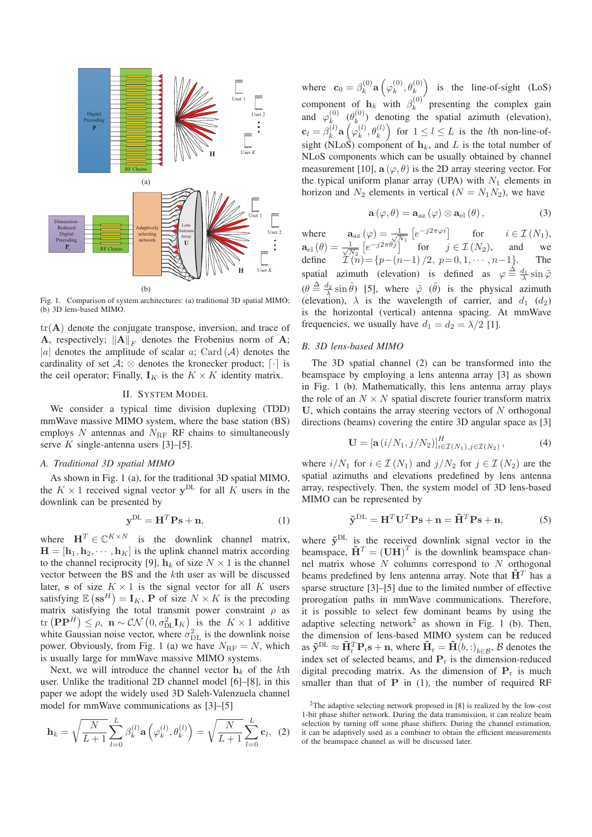

Fig. 1. Comparison of system architectures: (a) traditional 3D spatial MIMO; (b) 3D lens-based MIMO.

 $tr(A)$  denote the conjugate transpose, inversion, and trace of **A**, respectively;  $||A||_F$  denotes the Frobenius norm of **A**; |a| denotes the amplitude of scalar a; Card  $(A)$  denotes the cardinality of set  $\mathcal{A}$ ;  $\otimes$  denotes the kronecker product;  $\lceil \cdot \rceil$  is the ceil operator; Finally,  $\mathbf{I}_K$  is the  $K \times K$  identity matrix.

## II. SYSTEM MODEL

We consider a typical time division duplexing (TDD) mmWave massive MIMO system, where the base station (BS) employs N antennas and  $N_{\text{RF}}$  RF chains to simultaneously serve  $K$  single-antenna users [3]–[5].

# *A. Traditional 3D spatial MIMO*

As shown in Fig. 1 (a), for the traditional 3D spatial MIMO, the  $K \times 1$  received signal vector  $y^{DL}$  for all K users in the downlink can be presented by

$$
\mathbf{y}^{\mathrm{DL}} = \mathbf{H}^T \mathbf{P} \mathbf{s} + \mathbf{n},\tag{1}
$$

where  $\mathbf{H}^T \in \mathbb{C}^{K \times N}$  is the downlink channel matrix,  $\mathbf{H} = [\mathbf{h}_1, \mathbf{h}_2, \cdots, \mathbf{h}_K]$  is the uplink channel matrix according to the channel reciprocity [9],  $\mathbf{h}_k$  of size  $N \times 1$  is the channel vector between the BS and the kth user as will be discussed later, **s** of size  $K \times 1$  is the signal vector for all K users satisfying  $\mathbb{E}(\mathbf{s}\mathbf{s}^H) = \mathbf{I}_K$ , **P** of size  $N \times K$  is the precoding matrix satisfying the total transmit power constraint  $\rho$  as  $\text{tr}(\mathbf{P}\mathbf{P}^H) \leq \rho, \ \mathbf{n} \sim \mathcal{CN}\left(0, \sigma_{\text{DL}}^2 \mathbf{I}_K\right)$  is the  $K \times 1$  additive white Gaussian noise vector, where  $\sigma_{\rm DL}^2$  is the downlink noise power. Obviously, from Fig. 1 (a) we have  $N_{\text{RF}} = N$ , which is usually large for mmWave massive MIMO systems.

Next, we will introduce the channel vector  $\mathbf{h}_k$  of the kth user. Unlike the traditional 2D channel model [6]–[8], in this paper we adopt the widely used 3D Saleh-Valenzuela channel model for mmWave communications as [3]–[5]

$$
\mathbf{h}_{k} = \sqrt{\frac{N}{L+1}} \sum_{l=0}^{L} \beta_{k}^{(l)} \mathbf{a}\left(\varphi_{k}^{(l)}, \theta_{k}^{(l)}\right) = \sqrt{\frac{N}{L+1}} \sum_{l=0}^{L} \mathbf{c}_{l}, \tag{2}
$$

where  $\mathbf{c}_0 = \beta_k^{(0)} \mathbf{a} \left( \varphi_k^{(0)}, \theta_k^{(0)} \right)$  is the line-of-sight (LoS) component of  $h_k$  with  $\beta_k^{(0)}$  presenting the complex gain and  $\varphi_k^{(0)}$  ( $\theta_k^{(0)}$ ) denoting the spatial azimuth (elevation),  $\mathbf{c}_l = \beta_k^{(l)} \mathbf{a}\left(\gamma_k^{(l)}, \theta_k^{(l)}\right)$  for  $1 \leq l \leq L$  is the *l*th non-line-ofsight (NLoS) component of  $h_k$ , and L is the total number of NLoS components which can be usually obtained by channel measurement [10],  $\mathbf{a}(\varphi, \theta)$  is the 2D array steering vector. For the typical uniform planar array (UPA) with  $N_1$  elements in horizon and  $N_2$  elements in vertical  $(N = N_1 N_2)$ , we have

$$
\mathbf{a}(\varphi,\theta) = \mathbf{a}_{\text{az}}(\varphi) \otimes \mathbf{a}_{\text{el}}(\theta), \qquad (3)
$$

where  $\mathbf{a}_{\text{az}}(\varphi) = \frac{1}{\sqrt{N_1}} \left[ e^{-j2\pi\varphi i} \right]$  for  $i \in \mathcal{I}(N_1)$ ,  $\mathbf{a}_{el}(\theta) = \frac{1}{\sqrt{N_2}} \left[ e^{-j2\pi\theta j} \right]$  for  $j \in \mathcal{I}(N_2)$ , and we define  $\mathcal{I}(n) = \{p-(n-1)/2, p=0, 1, \cdots, n-1\}$ . The spatial azimuth (elevation) is defined as  $\varphi \stackrel{\Delta}{=} \frac{d_1}{\lambda} \sin \tilde{\varphi}$  $(\theta \triangleq \frac{d_2}{\lambda} \sin \tilde{\theta})$  [5], where  $\tilde{\varphi}$  ( $\tilde{\theta}$ ) is the physical azimuth (elevation),  $\lambda$  is the wavelength of carrier, and  $d_1$  ( $d_2$ ) is the horizontal (vertical) antenna spacing. At mmWave frequencies, we usually have  $d_1 = d_2 = \lambda/2$  [1].

## *B. 3D lens-based MIMO*

The 3D spatial channel (2) can be transformed into the beamspace by employing a lens antenna array [3] as shown in Fig. 1 (b). Mathematically, this lens antenna array plays the role of an  $N \times N$  spatial discrete fourier transform matrix U, which contains the array steering vectors of  $N$  orthogonal directions (beams) covering the entire 3D angular space as [3]

$$
\mathbf{U} = \left[\mathbf{a}\left(i/N_1, j/N_2\right)\right]_{i \in \mathcal{I}(N_1), j \in \mathcal{I}(N_2)}^H, \tag{4}
$$

where  $i/N_1$  for  $i \in \mathcal{I}(N_1)$  and  $j/N_2$  for  $j \in \mathcal{I}(N_2)$  are the spatial azimuths and elevations predefined by lens antenna array, respectively. Then, the system model of 3D lens-based MIMO can be represented by

$$
\tilde{\mathbf{y}}^{\mathrm{DL}} = \mathbf{H}^T \mathbf{U}^T \mathbf{P} \mathbf{s} + \mathbf{n} = \tilde{\mathbf{H}}^T \mathbf{P} \mathbf{s} + \mathbf{n},\tag{5}
$$

where  $\tilde{y}^{DL}$  is the received downlink signal vector in the beamspace,  $\tilde{\mathbf{H}}^T = (\mathbf{U}\mathbf{H})^T$  is the downlink beamspace channel matrix whose  $N$  columns correspond to  $N$  orthogonal beams predefined by lens antenna array. Note that  $\tilde{H}^T$  has a sparse structure [3]–[5] due to the limited number of effective prorogation paths in mmWave communications. Therefore, it is possible to select few dominant beams by using the adaptive selecting network<sup>2</sup> as shown in Fig. 1 (b). Then, the dimension of lens-based MIMO system can be reduced as  $\tilde{\mathbf{y}}^{\text{DL}} \approx \tilde{\mathbf{H}}_{\text{r}}^T \mathbf{P}_{\text{r}} \mathbf{s} + \mathbf{n}$ , where  $\tilde{\mathbf{H}}_{\text{r}} = \tilde{\mathbf{H}}(b, :)_{b \in \mathcal{B}}$ ,  $\mathcal{B}$  denotes the index set of selected beams, and **P**<sup>r</sup> is the dimension-reduced digital precoding matrix. As the dimension of  $P_r$  is much smaller than that of **P** in (1), the number of required RF

<sup>&</sup>lt;sup>2</sup>The adaptive selecting network proposed in  $[8]$  is realized by the low-cost 1-bit phase shifter network. During the data transmission, it can realize beam selection by turning off some phase shifters. During the channel estimation, it can be adaptively used as a combiner to obtain the efficient measurements of the beamspace channel as will be discussed later.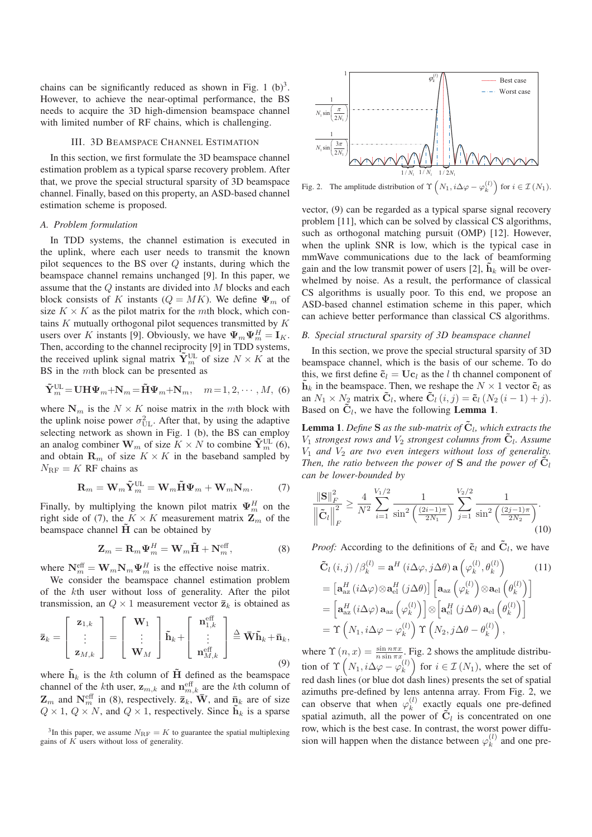chains can be significantly reduced as shown in Fig. 1  $(b)^3$ . However, to achieve the near-optimal performance, the BS needs to acquire the 3D high-dimension beamspace channel with limited number of RF chains, which is challenging.

#### III. 3D BEAMSPACE CHANNEL ESTIMATION

In this section, we first formulate the 3D beamspace channel estimation problem as a typical sparse recovery problem. After that, we prove the special structural sparsity of 3D beamspace channel. Finally, based on this property, an ASD-based channel estimation scheme is proposed.

#### *A. Problem formulation*

In TDD systems, the channel estimation is executed in the uplink, where each user needs to transmit the known pilot sequences to the BS over  $Q$  instants, during which the beamspace channel remains unchanged [9]. In this paper, we assume that the Q instants are divided into M blocks and each block consists of K instants  $(Q = MK)$ . We define  $\Psi_m$  of size  $K \times K$  as the pilot matrix for the *mth* block, which contains  $K$  mutually orthogonal pilot sequences transmitted by  $K$ users over K instants [9]. Obviously, we have  $\Psi_m \Psi_m^H = \mathbf{I}_K$ . Then, according to the channel reciprocity [9] in TDD systems, the received uplink signal matrix  $\widetilde{\mathbf{Y}}_m^{\text{UL}}$  of size  $N \times K$  at the BS in the mth block can be presented as

$$
\tilde{\mathbf{Y}}_m^{\text{UL}} = \mathbf{U} \mathbf{H} \boldsymbol{\Psi}_m + \mathbf{N}_m = \tilde{\mathbf{H}} \boldsymbol{\Psi}_m + \mathbf{N}_m, \quad m = 1, 2, \cdots, M, \tag{6}
$$

where  $N_m$  is the  $N \times K$  noise matrix in the mth block with the uplink noise power  $\sigma_{\text{UL}}^2$ . After that, by using the adaptive selecting network as shown in Fig. 1 (b), the BS can employ an analog combiner  $\mathbf{W}_m$  of size  $K \times N$  to combine  $\tilde{\mathbf{Y}}_m^{\text{UL}}(6)$ , and obtain  $\mathbf{R}_m$  of size  $K \times K$  in the baseband sampled by  $N_{\text{RF}} = K$  RF chains as

$$
\mathbf{R}_{m} = \mathbf{W}_{m} \tilde{\mathbf{Y}}_{m}^{\text{UL}} = \mathbf{W}_{m} \tilde{\mathbf{H}} \Psi_{m} + \mathbf{W}_{m} \mathbf{N}_{m}. \tag{7}
$$

Finally, by multiplying the known pilot matrix  $\Psi_m^H$  on the right side of (7), the  $K \times K$  measurement matrix  $\mathbf{Z}_m$  of the beamspace channel  $\tilde{H}$  can be obtained by

$$
\mathbf{Z}_m = \mathbf{R}_m \Psi_m^H = \mathbf{W}_m \tilde{\mathbf{H}} + \mathbf{N}_m^{\text{eff}},\tag{8}
$$

where  $N_m^{\text{eff}} = W_m N_m \Psi_m^H$  is the effective noise matrix.

We consider the beamspace channel estimation problem of the kth user without loss of generality. After the pilot transmission, an  $Q \times 1$  measurement vector  $\bar{z}_k$  is obtained as

$$
\bar{\mathbf{z}}_k = \begin{bmatrix} \mathbf{z}_{1,k} \\ \vdots \\ \mathbf{z}_{M,k} \end{bmatrix} = \begin{bmatrix} \mathbf{W}_1 \\ \vdots \\ \mathbf{W}_M \end{bmatrix} \tilde{\mathbf{h}}_k + \begin{bmatrix} \mathbf{n}_{1,k}^{\text{eff}} \\ \vdots \\ \mathbf{n}_{M,k}^{\text{eff}} \end{bmatrix} \stackrel{\triangle}{=} \mathbf{\bar{W}} \tilde{\mathbf{h}}_k + \bar{\mathbf{n}}_k,
$$
\n(9)

where  $\tilde{\mathbf{h}}_k$  is the kth column of  $\tilde{\mathbf{H}}$  defined as the beamspace channel of the kth user,  $z_{m,k}$  and  $n_{m,k}^{\text{eff}}$  are the kth column of  $\mathbf{Z}_m$  and  $\mathbf{N}_m^{\text{eff}}$  in (8), respectively.  $\overline{\mathbf{z}}_k$ ,  $\overline{\mathbf{W}}$ , and  $\overline{\mathbf{n}}_k$  are of size  $Q \times 1$ ,  $Q \times N$ , and  $Q \times 1$ , respectively. Since  $\mathbf{h}_k$  is a sparse

<sup>3</sup>In this paper, we assume  $N_{\text{RF}} = K$  to guarantee the spatial multiplexing gains of  $\overline{K}$  users without loss of generality.



Fig. 2. The amplitude distribution of  $\Upsilon\left(N_1, i\Delta\varphi - \varphi_k^{(l)}\right)$  for  $i \in \mathcal{I}(N_1)$ .

vector, (9) can be regarded as a typical sparse signal recovery problem [11], which can be solved by classical CS algorithms, such as orthogonal matching pursuit (OMP) [12]. However, when the uplink SNR is low, which is the typical case in mmWave communications due to the lack of beamforming gain and the low transmit power of users [2],  $\tilde{\mathbf{h}}_k$  will be overwhelmed by noise. As a result, the performance of classical CS algorithms is usually poor. To this end, we propose an ASD-based channel estimation scheme in this paper, which can achieve better performance than classical CS algorithms.

## *B. Special structural sparsity of 3D beamspace channel*

In this section, we prove the special structural sparsity of 3D beamspace channel, which is the basis of our scheme. To do this, we first define  $\tilde{\mathbf{c}}_l = \mathbf{U}\mathbf{c}_l$  as the *l* th channel component of  $\tilde{\mathbf{h}}_k$  in the beamspace. Then, we reshape the  $N \times 1$  vector  $\tilde{\mathbf{c}}_l$  as an  $N_1 \times N_2$  matrix  $\tilde{\mathbf{C}}_l$ , where  $\tilde{\mathbf{C}}_l$   $(i, j) = \tilde{\mathbf{c}}_l$   $(N_2 (i - 1) + j)$ . Based on  $\tilde{C}_l$ , we have the following **Lemma 1.** 

**Lemma 1.** Define **S** as the sub-matrix of  $\tilde{C}_l$ , which extracts the  $V_1$  *strongest rows and*  $V_2$  *strongest columns from*  $\tilde{\mathbf{C}}_l$ *. Assume*  $V_1$  *and*  $V_2$  *are two even integers without loss of generality. Then, the ratio between the power of*  $S$  *and the power of*  $\tilde{C}_l$ *can be lower-bounded by*

$$
\frac{\|\mathbf{S}\|_{F}^{2}}{\left\|\tilde{\mathbf{C}}_{l}\right\|_{F}^{2}} \geq \frac{4}{N^{2}} \sum_{i=1}^{V_{1}/2} \frac{1}{\sin^{2}\left(\frac{(2i-1)\pi}{2N_{1}}\right)} \sum_{j=1}^{V_{2}/2} \frac{1}{\sin^{2}\left(\frac{(2j-1)\pi}{2N_{2}}\right)}.
$$
\n(10)

*Proof:* According to the definitions of  $\tilde{\mathbf{c}}_l$  and  $\tilde{\mathbf{C}}_l$ , we have

$$
\tilde{\mathbf{C}}_{l} (i, j) / \beta_{k}^{(l)} = \mathbf{a}^{H} (i \Delta \varphi, j \Delta \theta) \mathbf{a} \left( \varphi_{k}^{(l)}, \theta_{k}^{(l)} \right) \qquad (11)
$$
\n
$$
= \left[ \mathbf{a}_{\text{az}}^{H} (i \Delta \varphi) \otimes \mathbf{a}_{\text{el}}^{H} (j \Delta \theta) \right] \left[ \mathbf{a}_{\text{az}} \left( \varphi_{k}^{(l)} \right) \otimes \mathbf{a}_{\text{el}} \left( \theta_{k}^{(l)} \right) \right]
$$
\n
$$
= \left[ \mathbf{a}_{\text{az}}^{H} (i \Delta \varphi) \mathbf{a}_{\text{az}} \left( \varphi_{k}^{(l)} \right) \right] \otimes \left[ \mathbf{a}_{\text{el}}^{H} (j \Delta \theta) \mathbf{a}_{\text{el}} \left( \theta_{k}^{(l)} \right) \right]
$$
\n
$$
= \Upsilon \left( N_{1}, i \Delta \varphi - \varphi_{k}^{(l)} \right) \Upsilon \left( N_{2}, j \Delta \theta - \theta_{k}^{(l)} \right),
$$
\n(11)

where  $\Upsilon(n, x) = \frac{\sin n\pi x}{n \sin \pi x}$ . Fig. 2 shows the amplitude distribution of  $\Upsilon\left(N_1, i\Delta\varphi - \varphi_k^{(l)}\right)$  for  $i \in \mathcal{I}(N_1)$ , where the set of red dash lines (or blue dot dash lines) presents the set of spatial azimuths pre-defined by lens antenna array. From Fig. 2, we can observe that when  $\varphi_k^{(l)}$  exactly equals one pre-defined spatial azimuth, all the power of  $\tilde{C}_l$  is concentrated on one row, which is the best case. In contrast, the worst power diffusion will happen when the distance between  $\varphi_k^{(l)}$  and one pre-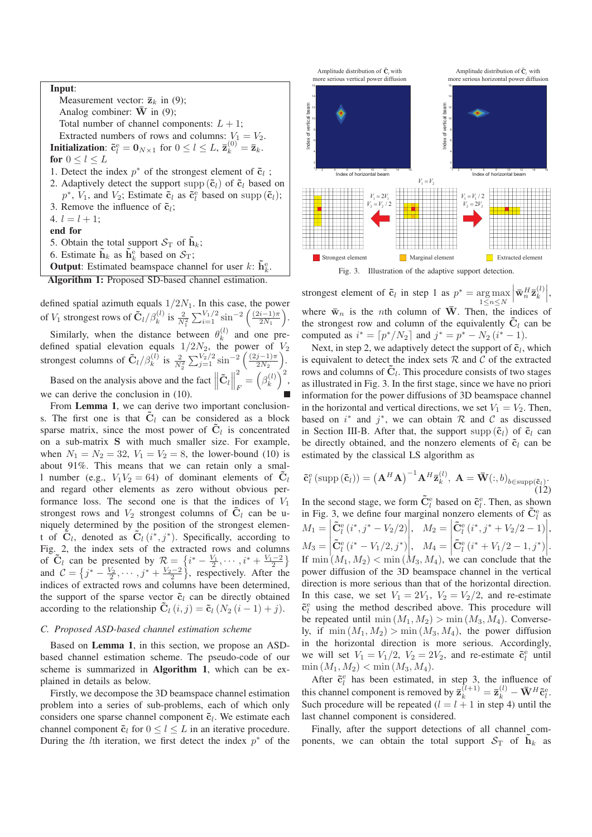#### Input:

Measurement vector:  $\overline{\mathbf{z}}_k$  in (9); Analog combiner:  $\overline{W}$  in (9); Total number of channel components:  $L + 1$ ; Extracted numbers of rows and columns:  $V_1 = V_2$ . **Initialization:**  $\tilde{\mathbf{c}}_l^{\text{e}} = \mathbf{0}_{N \times 1}$  for  $0 \le l \le L$ ,  $\bar{\mathbf{z}}_k^{(0)} = \bar{\mathbf{z}}_k$ . for  $0 \leq l \leq L$ 1. Detect the index  $p^*$  of the strongest element of  $\tilde{c}_l$ ; 2. Adaptively detect the support supp  $(\tilde{\mathbf{c}}_l)$  of  $\tilde{\mathbf{c}}_l$  based on  $p^*$ ,  $V_1$ , and  $V_2$ ; Estimate  $\tilde{\mathbf{c}}_l$  as  $\tilde{\mathbf{c}}_l^e$  based on supp  $(\tilde{\mathbf{c}}_l)$ ; 3. Remove the influence of  $\tilde{c}_i$ ; 4.  $l = l + 1$ ; end for 5. Obtain the total support  $S_T$  of  $h_k$ ; 6. Estimate  $\tilde{\mathbf{h}}_k$  as  $\tilde{\mathbf{h}}_k^e$  based on  $\mathcal{S}_T$ ; **Output**: Estimated beamspace channel for user  $k$ :  $\tilde{\mathbf{h}}_k^e$ .

Algorithm 1: Proposed SD-based channel estimation.

defined spatial azimuth equals  $1/2N_1$ . In this case, the power of  $V_1$  strongest rows of  $\tilde{C}_l / \beta_k^{(l)}$  is  $\frac{2}{N_1^2} \sum_{i=1}^{V_1/2} \sin^{-2} \left( \frac{(2i-1)\pi}{2N_1} \right)$ .

Similarly, when the distance between  $\theta_k^{(l)}$  and one predefined spatial elevation equals  $1/2N_2$ , the power of  $V_2$ strongest columns of  $\tilde{C}_l/\beta_k^{(l)}$  is  $\frac{2}{N_2^2} \sum_{j=1}^{V_2/2} \sin^{-2} \left( \frac{(2j-1)\pi}{2N_2} \right)$ .

Based on the analysis above and the fact  $\|\tilde{\mathbf{C}}_l\|$ 2  $\frac{2}{F} = \left(\beta_k^{(l)}\right)^2,$ we can derive the conclusion in (10).

From Lemma 1, we can derive two important conclusions. The first one is that  $\tilde{C}_l$  can be considered as a block sparse matrix, since the most power of  $C_l$  is concentrated on a sub-matrix **S** with much smaller size. For example, when  $N_1 = N_2 = 32$ ,  $V_1 = V_2 = 8$ , the lower-bound (10) is about 91%. This means that we can retain only a small number (e.g.,  $V_1V_2 = 64$ ) of dominant elements of  $\tilde{C}_l$ and regard other elements as zero without obvious performance loss. The second one is that the indices of  $V_1$ strongest rows and  $V_2$  strongest columns of  $\mathbf{C}_l$  can be uniquely determined by the position of the strongest element of  $\tilde{C}_l$ , denoted as  $\tilde{C}_l(i^*, j^*)$ . Specifically, according to Fig. 2, the index sets of the extracted rows and columns of  $\tilde{C}_l$  can be presented by  $R = \{i^* - \frac{V_1}{2}, \cdots, i^* + \frac{V_1-2}{2}\}$ and  $C = \{j^* - \frac{V_2}{2}, \cdots, j^* + \frac{V_2 - 2}{2}\}\,$  respectively. After the indices of extracted rows and columns have been determined, the support of the sparse vector  $\tilde{\mathbf{c}}_l$  can be directly obtained according to the relationship  $\tilde{C}_l(i, j) = \tilde{c}_l (N_2 (i - 1) + j).$ 

#### *C. Proposed ASD-based channel estimation scheme*

Based on Lemma 1, in this section, we propose an ASDbased channel estimation scheme. The pseudo-code of our scheme is summarized in Algorithm 1, which can be explained in details as below.

Firstly, we decompose the 3D beamspace channel estimation problem into a series of sub-problems, each of which only considers one sparse channel component  $\tilde{c}_l$ . We estimate each channel component  $\tilde{\mathbf{c}}_l$  for  $0 \leq l \leq L$  in an iterative procedure. During the *l*th iteration, we first detect the index  $p^*$  of the



Fig. 3. Illustration of the adaptive support detection.

strongest element of  $\tilde{c}_l$  in step 1 as  $p^* = \arg \max$  $1\leq n\leq N$  $\left| \bar{\mathbf{w}}_n^H \bar{\mathbf{z}}_k^{(l)} \right|$ where  $\bar{w}_n$  is the *n*th column of  $\bar{W}$ . Then, the indices of the strongest row and column of the equivalently  $\tilde{C}_l$  can be computed as  $i^* = [p^*/N_2]$  and  $j^* = p^* - N_2 (i^* - 1)$ .

Next, in step 2, we adaptively detect the support of  $\tilde{\mathbf{c}}_l$ , which is equivalent to detect the index sets  $R$  and  $C$  of the extracted rows and columns of  $\tilde{C}_l$ . This procedure consists of two stages as illustrated in Fig. 3. In the first stage, since we have no priori information for the power diffusions of 3D beamspace channel in the horizontal and vertical directions, we set  $V_1 = V_2$ . Then, based on  $i^*$  and  $j^*$ , we can obtain  $R$  and  $C$  as discussed in Section III-B. After that, the support supp  $(\tilde{\mathbf{c}}_l)$  of  $\tilde{\mathbf{c}}_l$  can be directly obtained, and the nonzero elements of  $\tilde{c}_l$  can be estimated by the classical LS algorithm as

$$
\tilde{\mathbf{c}}_l^{\mathbf{e}}\left(\text{supp}\left(\tilde{\mathbf{c}}_l\right)\right) = \left(\mathbf{A}^H\mathbf{A}\right)^{-1}\mathbf{A}^H\bar{\mathbf{z}}_k^{(l)}, \ \mathbf{A} = \bar{\mathbf{W}}(:,b)_{b \in \text{supp}(\tilde{\mathbf{c}}_l)}.\tag{12}
$$

In the second stage, we form  $\tilde{C}_{l}^{e}$  based on  $\tilde{c}_{l}^{e}$ . Then, as shown in Fig. 3, we define four marginal nonzero elements of  $\tilde{C}_{l}^{e}$  as  $M_1 = \left| \tilde{C}_{l}^{e} (i^*, j^* - V_2/2) \right|, \quad M_2 = \left| \tilde{C}_{l}^{e} (i^*, j^* + V_2/2 - 1) \right|,$  $M_3 = \left| \frac{\tilde{C}_e^e(i^* - V_1/2, j^*)}{\tilde{C}_e^e(i^* - V_1/2, j^*)} \right|, \quad M_4 = \left| \frac{\tilde{C}_e^e(i^* + V_1/2 - 1, j^*)}{\tilde{C}_e^e(i^* + V_1/2 - 1, j^*)} \right|$ If  $\min(M_1, M_2) < \min(M_3, M_4)$ , we can conclude that the power diffusion of the 3D beamspace channel in the vertical direction is more serious than that of the horizontal direction. In this case, we set  $V_1 = 2V_1$ ,  $V_2 = V_2/2$ , and re-estimate  $\tilde{\mathbf{c}}_l^e$  using the method described above. This procedure will be repeated until min  $(M_1, M_2) > \min(M_3, M_4)$ . Conversely, if  $\min(M_1, M_2) > \min(M_3, M_4)$ , the power diffusion in the horizontal direction is more serious. Accordingly, we will set  $V_1 = V_1/2$ ,  $V_2 = 2V_2$ , and re-estimate  $\tilde{c}_l^e$  until  $\min(M_1, M_2) < \min(M_3, M_4).$ 

After  $\tilde{\mathbf{c}}_l^e$  has been estimated, in step 3, the influence of this channel component is removed by  $\bar{\mathbf{z}}_k^{(l+1)} = \bar{\mathbf{z}}_k^{(l)} - \bar{\mathbf{W}}^H \tilde{\mathbf{c}}_l^e$ . Such procedure will be repeated  $(l = l + 1$  in step 4) until the last channel component is considered.

Finally, after the support detections of all channel components, we can obtain the total support  $S_T$  of  $\mathbf{h}_k$  as